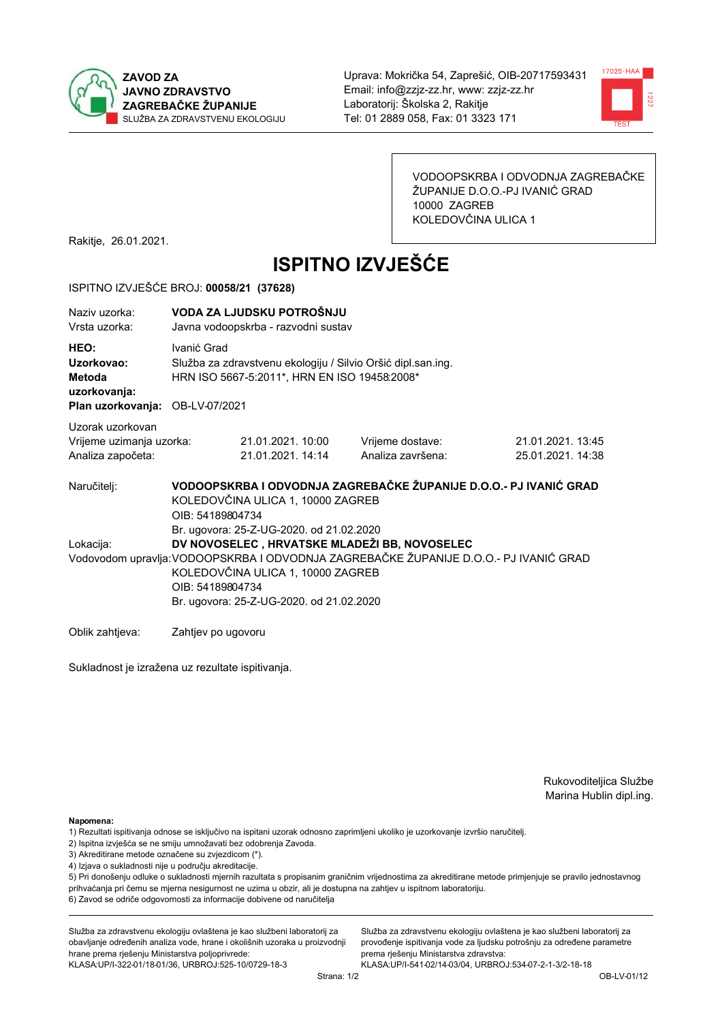



VODOOPSKRBA I ODVODNJA ZAGREBAČKE ŽUPANIJE D.O.O.-PJ IVANIĆ GRAD 10000 ZAGREB KOLEDOVČINA ULICA 1

Rakitje, 26.01.2021.

# **ISPITNO IZVJEŠĆE**

#### ISPITNO IZVJEŠĆE BROJ: 00058/21 (37628)

| Naziy uzorka:<br>Vrsta uzorka:                                                  | VODA ZA LJUDSKU POTROŠNJU<br>Javna vodoopskrba - razvodni sustav                                                            |                                                                               |                                              |                                                                                       |  |
|---------------------------------------------------------------------------------|-----------------------------------------------------------------------------------------------------------------------------|-------------------------------------------------------------------------------|----------------------------------------------|---------------------------------------------------------------------------------------|--|
| HEO:<br>Uzorkovao:<br>Metoda<br>uzorkovanja:<br>Plan uzorkovanja: OB-LV-07/2021 | Ivanić Grad<br>Služba za zdravstvenu ekologiju / Silvio Oršić dipl.san.ing.<br>HRN ISO 5667-5:2011*, HRN EN ISO 19458:2008* |                                                                               |                                              |                                                                                       |  |
| Uzorak uzorkovan                                                                |                                                                                                                             |                                                                               |                                              |                                                                                       |  |
| Vrijeme uzimanja uzorka:                                                        |                                                                                                                             | 21.01.2021. 10:00                                                             | Vrijeme dostave:                             | 21.01.2021. 13:45                                                                     |  |
| Analiza započeta:                                                               |                                                                                                                             | 21.01.2021.14:14                                                              | Analiza završena:                            | 25.01.2021.14:38                                                                      |  |
| Naručitelj:                                                                     | OIB: 54189804734                                                                                                            | KOLEDOVČINA ULICA 1, 10000 ZAGREB                                             |                                              | VODOOPSKRBA I ODVODNJA ZAGREBAČKE ŽUPANIJE D.O.O.- PJ IVANIĆ GRAD                     |  |
| Lokacija:                                                                       |                                                                                                                             | Br. ugovora: 25-Z-UG-2020. od 21.02.2020                                      | DV NOVOSELEC, HRVATSKE MLADEŽI BB, NOVOSELEC |                                                                                       |  |
|                                                                                 | OIB: 54189804734                                                                                                            | KOLEDOVČINA ULICA 1, 10000 ZAGREB<br>Br. ugovora: 25-Z-UG-2020. od 21.02.2020 |                                              | Vodovodom upravlja: VODOOPSKRBA I ODVODNJA ZAGREBAČKE ŽUPANIJE D.O.O.- PJ IVANIĆ GRAD |  |
| Oblik zahtieva:                                                                 | Zahtjev po ugovoru                                                                                                          |                                                                               |                                              |                                                                                       |  |

Sukladnost je izražena uz rezultate ispitivanja.

Rukovoditeljica Službe Marina Hublin dipl.ing.

Napomena:

- 1) Rezultati ispitivanja odnose se isključivo na ispitani uzorak odnosno zaprimljeni ukoliko je uzorkovanje izvršio naručiteli.
- 2) Ispitna izvješća se ne smiju umnožavati bez odobrenja Zavoda.
- 3) Akreditirane metode označene su zvjezdicom (\*).
- 4) Izjava o sukladnosti nije u području akreditacije.

5) Pri donošenju odluke o sukladnosti mjernih razultata s propisanim graničnim vrijednostima za akreditirane metode primjenjuje se pravilo jednostavnog prihvaćanja pri čemu se mjerna nesigurnost ne uzima u obzir, ali je dostupna na zahtjev u ispitnom laboratoriju.

6) Zavod se odriče odgovornosti za informacije dobivene od naručitelja

Služba za zdravstvenu ekologiju ovlaštena je kao službeni laboratorij za obavljanje određenih analiza vode, hrane i okolišnih uzoraka u proizvodnji hrane prema rješenju Ministarstva poljoprivrede: KLASA.UP/I-322-01/18-01/36, URBROJ:525-10/0729-18-3

Služba za zdravstvenu ekologiju ovlaštena je kao službeni laboratorij za provođenje ispitivanja vode za ljudsku potrošnju za određene parametre prema riešenju Ministarstva zdravstva: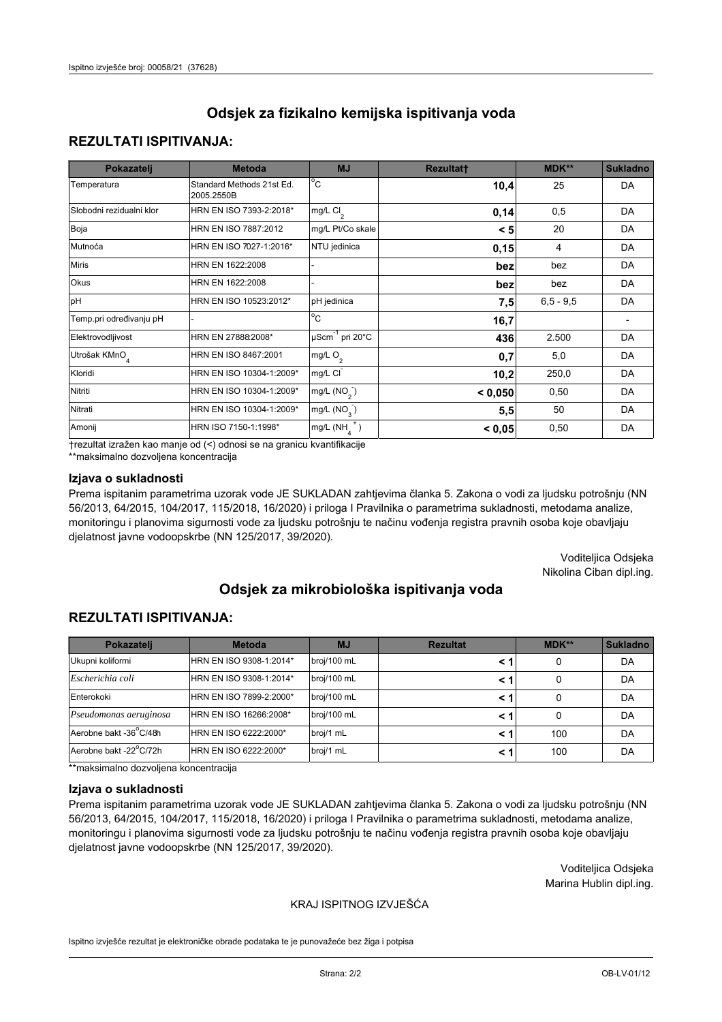# **REZULTATI ISPITIVANJA:**

| Pokazatelj                | <b>Metoda</b>                           | <b>MJ</b>                   | <b>Rezultatt</b> | <b>MDK**</b> | <b>Sukladno</b> |
|---------------------------|-----------------------------------------|-----------------------------|------------------|--------------|-----------------|
| Temperatura               | Standard Methods 21st Ed.<br>2005.2550B | $^{\circ}$ C                | 10,4             | 25           | DA              |
| Slobodni rezidualni klor  | HRN EN ISO 7393-2:2018*                 | mg/L $Cl_2$                 | 0,14             | 0,5          | DA              |
| Boja                      | HRN EN ISO 7887:2012                    | mg/L Pt/Co skale            | < 5              | 20           | DA              |
| Mutnoća                   | HRN EN ISO 7027-1:2016*                 | NTU jedinica                | 0,15             | 4            | DA              |
| <b>Miris</b>              | HRN EN 1622:2008                        |                             | bez              | bez          | DA              |
| Okus                      | HRN EN 1622:2008                        |                             | bez              | bez          | DA              |
| pH                        | HRN EN ISO 10523:2012*                  | pH jedinica                 | 7,5              | $6.5 - 9.5$  | DA              |
| Temp.pri određivanju pH   |                                         | $\overline{c}$              | 16,7             |              |                 |
| Elektrovodljivost         | HRN EN 27888:2008*                      | µScm <sup>-1</sup> pri 20°C | 436              | 2.500        | DA              |
| Utrošak KMnO <sub>4</sub> | HRN EN ISO 8467:2001                    | mg/L O <sub>2</sub>         | 0,7              | 5,0          | DA              |
| Kloridi                   | HRN EN ISO 10304-1:2009*                | mg/L CI                     | 10,2             | 250,0        | DA              |
| Nitriti                   | HRN EN ISO 10304-1:2009*                | mg/L $(NO2)$                | < 0,050          | 0,50         | DA              |
| Nitrati                   | HRN EN ISO 10304-1:2009*                | mg/L $(NO3)$                | 5,5              | 50           | DA              |
| Amonij                    | HRN ISO 7150-1:1998*                    | mg/L $(NH_A^+)$             | < 0,05           | 0,50         | DA              |

trezultat izražen kao manje od (<) odnosi se na granicu kvantifikacije

\*\*maksimalno dozvoljena koncentracija

## Izjava o sukladnosti

Prema ispitanim parametrima uzorak vode JE SUKLADAN zahtjevima članka 5. Zakona o vodi za ljudsku potrošnju (NN 56/2013, 64/2015, 104/2017, 115/2018, 16/2020) i priloga I Pravilnika o parametrima sukladnosti, metodama analize, monitoringu i planovima sigurnosti vode za ljudsku potrošnju te načinu vođenja registra pravnih osoba koje obavljaju djelatnost javne vodoopskrbe (NN 125/2017, 39/2020).

> Voditeljica Odsjeka Nikolina Ciban dipl.ing.

# Odsiek za mikrobiološka ispitivanja voda

# **REZULTATI ISPITIVANJA:**

| Pokazatelj             | <b>Metoda</b>           | <b>MJ</b>   | <b>Rezultat</b> | MDK** | Sukladno |
|------------------------|-------------------------|-------------|-----------------|-------|----------|
| Ukupni koliformi       | HRN EN ISO 9308-1:2014* | broj/100 mL |                 | 0     | DA       |
| Escherichia coli       | HRN EN ISO 9308-1:2014* | broj/100 mL | < 1             | 0     | DA       |
| Enterokoki             | HRN EN ISO 7899-2:2000* | broj/100 mL | < 1             | 0     | DA       |
| Pseudomonas aeruginosa | HRN EN ISO 16266:2008*  | broj/100 mL | < 1             | 0     | DA       |
| Aerobne bakt -36°C/48h | HRN EN ISO 6222:2000*   | broj/1 mL   | < 1             | 100   | DA       |
| Aerobne bakt -22°C/72h | HRN EN ISO 6222:2000*   | broj/1 mL   | < 1             | 100   | DA       |

\*\*maksimalno dozvoljena koncentracija

#### Izjava o sukladnosti

Prema ispitanim parametrima uzorak vode JE SUKLADAN zahtjevima članka 5. Zakona o vodi za ljudsku potrošnju (NN 56/2013, 64/2015, 104/2017, 115/2018, 16/2020) i priloga I Pravilnika o parametrima sukladnosti, metodama analize, monitoringu i planovima sigurnosti vode za ljudsku potrošnju te načinu vođenja registra pravnih osoba koje obavljaju djelatnost javne vodoopskrbe (NN 125/2017, 39/2020).

> Voditeljica Odsjeka Marina Hublin dipl.ing.

## KRAJ ISPITNOG IZVJEŠĆA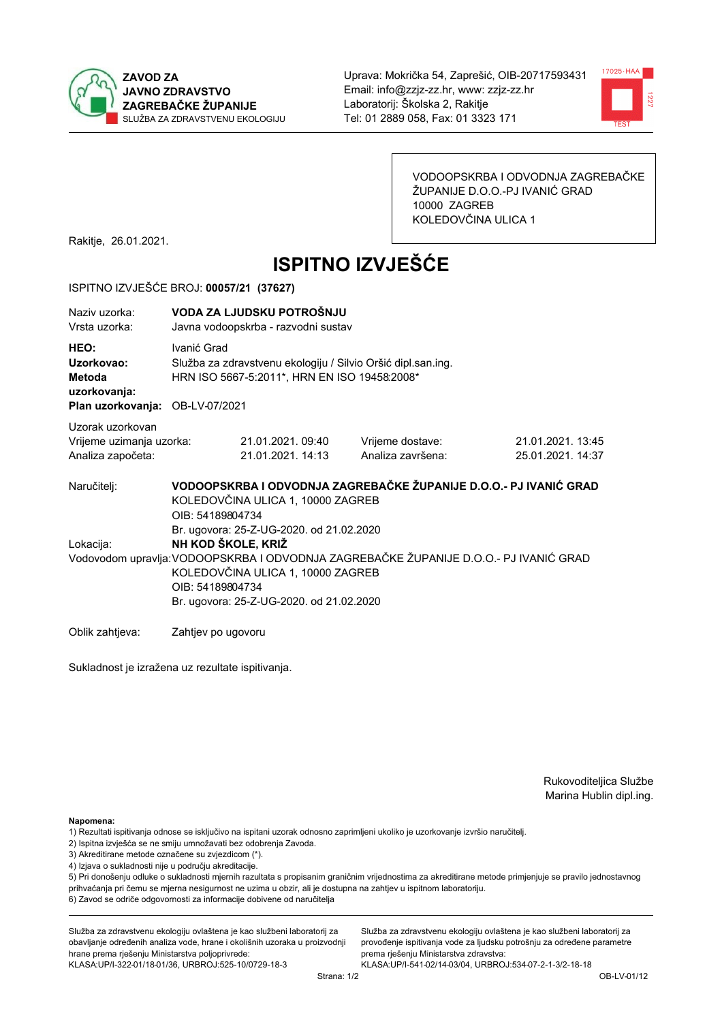



VODOOPSKRBA I ODVODNJA ZAGREBAČKE ŽUPANIJE D.O.O.-PJ IVANIĆ GRAD 10000 ZAGREB KOLEDOVČINA ULICA 1

Rakitje, 26.01.2021.

# **ISPITNO IZVJEŠĆE**

#### ISPITNO IZVJEŠĆE BROJ: 00057/21 (37627)

| Naziv uzorka:<br>Vrsta uzorka:                                                  | VODA ZA LJUDSKU POTROŠNJU<br>Javna vodoopskrba - razvodni sustav |                                                                                                              |                                                                                       |                                                                   |  |  |  |
|---------------------------------------------------------------------------------|------------------------------------------------------------------|--------------------------------------------------------------------------------------------------------------|---------------------------------------------------------------------------------------|-------------------------------------------------------------------|--|--|--|
| HEO:<br>Uzorkovao:<br>Metoda<br>uzorkovanja:<br>Plan uzorkovanja: OB-LV-07/2021 | Ivanić Grad                                                      | Služba za zdravstvenu ekologiju / Silvio Oršić dipl.san.ing.<br>HRN ISO 5667-5:2011*, HRN EN ISO 19458:2008* |                                                                                       |                                                                   |  |  |  |
| Uzorak uzorkovan                                                                |                                                                  |                                                                                                              |                                                                                       |                                                                   |  |  |  |
| Vrijeme uzimanja uzorka:                                                        |                                                                  | 21.01.2021.09:40                                                                                             | Vrijeme dostave:                                                                      | 21.01.2021. 13:45                                                 |  |  |  |
| Analiza započeta:                                                               |                                                                  | 21.01.2021.14:13                                                                                             | Analiza završena:                                                                     | 25.01.2021.14:37                                                  |  |  |  |
| Naručitelj:                                                                     | OIB: 54189804734                                                 | KOLEDOVČINA ULICA 1, 10000 ZAGREB<br>Br. ugovora: 25-Z-UG-2020. od 21.02.2020                                |                                                                                       | VODOOPSKRBA I ODVODNJA ZAGREBAČKE ŽUPANIJE D.O.O.- PJ IVANIĆ GRAD |  |  |  |
| Lokacija:                                                                       | NH KOD ŠKOLE, KRIŽ                                               |                                                                                                              |                                                                                       |                                                                   |  |  |  |
|                                                                                 | OIB: 54189804734                                                 | KOLEDOVČINA ULICA 1, 10000 ZAGREB<br>Br. ugovora: 25-Z-UG-2020. od 21.02.2020                                | Vodovodom upravlja: VODOOPSKRBA I ODVODNJA ZAGREBAČKE ŽUPANIJE D.O.O.- PJ IVANIĆ GRAD |                                                                   |  |  |  |
| Oblik zahtieva:                                                                 | Zahtjev po ugovoru                                               |                                                                                                              |                                                                                       |                                                                   |  |  |  |

Sukladnost je izražena uz rezultate ispitivanja.

Rukovoditeljica Službe Marina Hublin dipl.ing.

Napomena:

- 1) Rezultati ispitivanja odnose se isključivo na ispitani uzorak odnosno zaprimljeni ukoliko je uzorkovanje izvršio naručiteli.
- 2) Ispitna izvješća se ne smiju umnožavati bez odobrenja Zavoda.
- 3) Akreditirane metode označene su zvjezdicom (\*).
- 4) Izjava o sukladnosti nije u području akreditacije.

5) Pri donošenju odluke o sukladnosti mjernih razultata s propisanim graničnim vrijednostima za akreditirane metode primjenjuje se pravilo jednostavnog prihvaćanja pri čemu se mjerna nesigurnost ne uzima u obzir, ali je dostupna na zahtjev u ispitnom laboratoriju.

6) Zavod se odriče odgovornosti za informacije dobivene od naručitelja

Služba za zdravstvenu ekologiju ovlaštena je kao službeni laboratorij za obavljanje određenih analiza vode, hrane i okolišnih uzoraka u proizvodnji hrane prema rješenju Ministarstva poljoprivrede: KLASA.UP/I-322-01/18-01/36, URBROJ:525-10/0729-18-3

Služba za zdravstvenu ekologiju ovlaštena je kao službeni laboratorij za provođenje ispitivanja vode za ljudsku potrošnju za određene parametre prema riešenju Ministarstva zdravstva: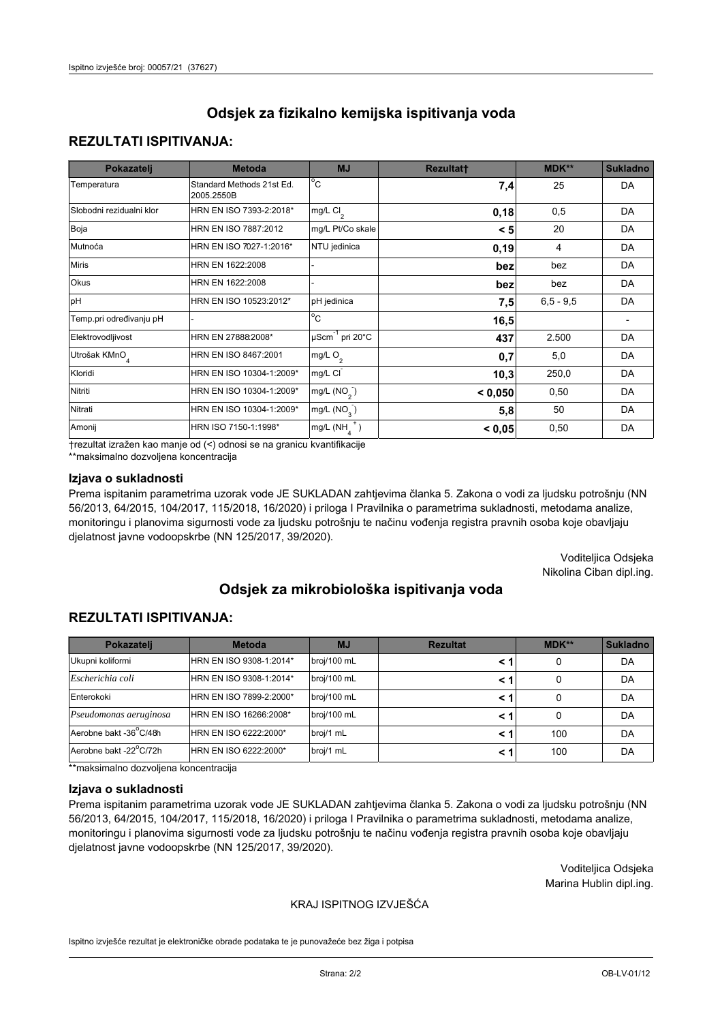# **REZULTATI ISPITIVANJA:**

| Pokazatelj                | <b>Metoda</b>                           | <b>MJ</b>                   | <b>Rezultatt</b> | MDK**       | <b>Sukladno</b> |
|---------------------------|-----------------------------------------|-----------------------------|------------------|-------------|-----------------|
| Temperatura               | Standard Methods 21st Ed.<br>2005.2550B | $^{\circ}$ C                | 7,4              | 25          | DA              |
| Slobodni rezidualni klor  | HRN EN ISO 7393-2:2018*                 | $mg/L$ Cl <sub>2</sub>      | 0,18             | 0,5         | DA              |
| Boja                      | HRN EN ISO 7887:2012                    | mg/L Pt/Co skale            | < 5              | 20          | DA              |
| Mutnoća                   | HRN EN ISO 7027-1:2016*                 | NTU jedinica                | 0, 19            | 4           | DA              |
| <b>Miris</b>              | HRN EN 1622:2008                        |                             | bez              | bez         | DA              |
| Okus                      | HRN EN 1622:2008                        |                             | bez              | bez         | DA              |
| pH                        | HRN EN ISO 10523:2012*                  | pH jedinica                 | 7,5              | $6,5 - 9,5$ | DA              |
| Temp.pri određivanju pH   |                                         | $\overline{c}$              | 16,5             |             |                 |
| Elektrovodljivost         | HRN EN 27888:2008*                      | µScm <sup>-1</sup> pri 20°C | 437              | 2.500       | DA              |
| Utrošak KMnO <sub>4</sub> | HRN EN ISO 8467:2001                    | mg/L O <sub>2</sub>         | 0,7              | 5,0         | DA              |
| Kloridi                   | HRN EN ISO 10304-1:2009*                | mg/L CI                     | 10,3             | 250,0       | DA              |
| Nitriti                   | HRN EN ISO 10304-1:2009*                | mg/L $(NO2)$                | < 0,050          | 0,50        | DA              |
| Nitrati                   | HRN EN ISO 10304-1:2009*                | mg/L (NO <sub>3</sub> )     | 5,8              | 50          | DA              |
| Amonij                    | HRN ISO 7150-1:1998*                    | $mg/L(NH_A^+)$              | < 0,05           | 0,50        | DA              |

trezultat izražen kao manje od (<) odnosi se na granicu kvantifikacije

\*\*maksimalno dozvoljena koncentracija

## Izjava o sukladnosti

Prema ispitanim parametrima uzorak vode JE SUKLADAN zahtjevima članka 5. Zakona o vodi za ljudsku potrošnju (NN 56/2013, 64/2015, 104/2017, 115/2018, 16/2020) i priloga I Pravilnika o parametrima sukladnosti, metodama analize, monitoringu i planovima sigurnosti vode za ljudsku potrošnju te načinu vođenja registra pravnih osoba koje obavljaju djelatnost javne vodoopskrbe (NN 125/2017, 39/2020).

> Voditeljica Odsjeka Nikolina Ciban dipl.ing.

# Odsiek za mikrobiološka ispitivanja voda

## **REZULTATI ISPITIVANJA:**

| Pokazatelj             | <b>Metoda</b>           | <b>MJ</b>   | <b>Rezultat</b> | MDK** | <b>Sukladno</b> |
|------------------------|-------------------------|-------------|-----------------|-------|-----------------|
| Ukupni koliformi       | HRN EN ISO 9308-1:2014* | broj/100 mL | < 1             | 0     | DA              |
| Escherichia coli       | HRN EN ISO 9308-1:2014* | broj/100 mL | < 1             | 0     | DA              |
| Enterokoki             | HRN EN ISO 7899-2:2000* | broj/100 mL | < 1             | 0     | DA              |
| Pseudomonas aeruginosa | HRN EN ISO 16266:2008*  | broj/100 mL | < 1             | 0     | DA              |
| Aerobne bakt -36°C/48h | HRN EN ISO 6222:2000*   | broj/1 mL   | < 1             | 100   | DA              |
| Aerobne bakt -22°C/72h | HRN EN ISO 6222:2000*   | broj/1 mL   | < 1             | 100   | DA              |

\*\*maksimalno dozvoljena koncentracija

#### Izjava o sukladnosti

Prema ispitanim parametrima uzorak vode JE SUKLADAN zahtjevima članka 5. Zakona o vodi za ljudsku potrošnju (NN 56/2013, 64/2015, 104/2017, 115/2018, 16/2020) i priloga I Pravilnika o parametrima sukladnosti, metodama analize, monitoringu i planovima sigurnosti vode za ljudsku potrošnju te načinu vođenja registra pravnih osoba koje obavljaju djelatnost javne vodoopskrbe (NN 125/2017, 39/2020).

> Voditeljica Odsjeka Marina Hublin dipl.ing.

## KRAJ ISPITNOG IZVJEŠĆA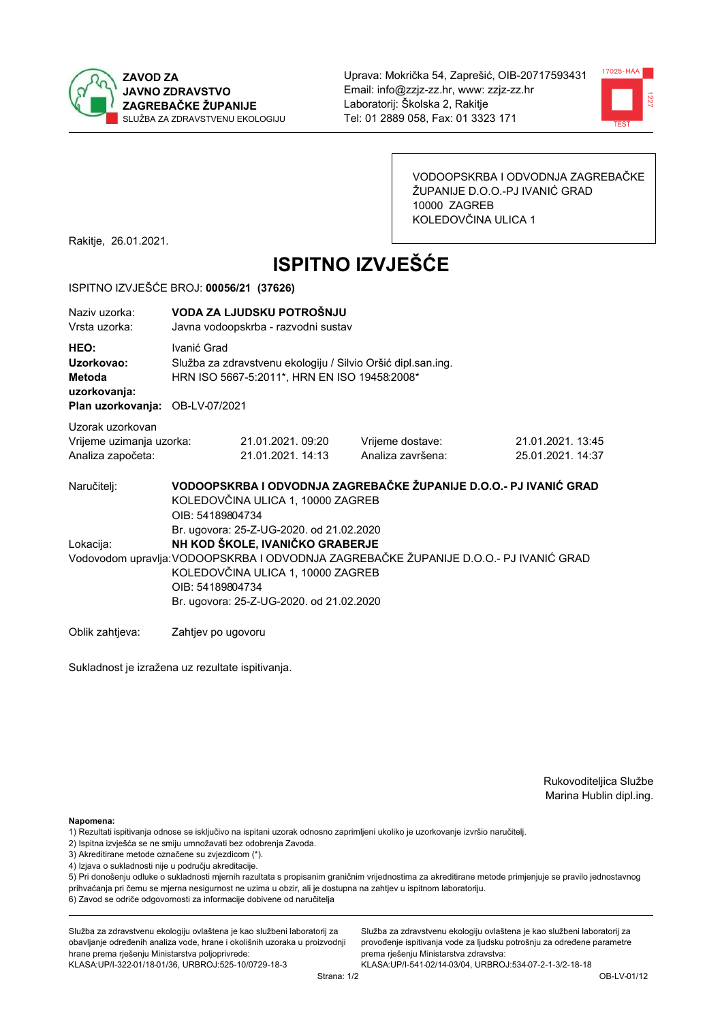



VODOOPSKRBA I ODVODNJA ZAGREBAČKE ŽUPANIJE D.O.O.-PJ IVANIĆ GRAD 10000 ZAGREB KOLEDOVČINA ULICA 1

Rakitje, 26.01.2021.

# **ISPITNO IZVJEŠĆE**

#### ISPITNO IZVJEŠĆE BROJ: 00056/21 (37626)

| Naziv uzorka:<br>Vrsta uzorka:                                                  | VODA ZA LJUDSKU POTROŠNJU<br>Javna vodoopskrba - razvodni sustav                                                                                                                                                                                                          |                                       |                                       |  |  |  |
|---------------------------------------------------------------------------------|---------------------------------------------------------------------------------------------------------------------------------------------------------------------------------------------------------------------------------------------------------------------------|---------------------------------------|---------------------------------------|--|--|--|
| HEO:<br>Uzorkovao:<br>Metoda<br>uzorkovanja:<br>Plan uzorkovanja: OB-LV-07/2021 | Ivanić Grad<br>Služba za zdravstvenu ekologiju / Silvio Oršić dipl.san.ing.<br>HRN ISO 5667-5:2011*, HRN EN ISO 19458:2008*                                                                                                                                               |                                       |                                       |  |  |  |
| Uzorak uzorkovan<br>Vrijeme uzimanja uzorka:<br>Analiza započeta:               | 21.01.2021.09:20<br>21.01.2021.14:13                                                                                                                                                                                                                                      | Vrijeme dostave:<br>Analiza završena: | 21.01.2021. 13:45<br>25.01.2021.14:37 |  |  |  |
| Naručitelj:                                                                     | VODOOPSKRBA I ODVODNJA ZAGREBAČKE ŽUPANIJE D.O.O.- PJ IVANIĆ GRAD<br>KOLEDOVČINA ULICA 1, 10000 ZAGREB<br>OIB: 54189804734                                                                                                                                                |                                       |                                       |  |  |  |
| Lokacija:                                                                       | Br. ugovora: 25-Z-UG-2020. od 21.02.2020<br>NH KOD ŠKOLE, IVANIČKO GRABERJE<br>Vodovodom upravlja: VODOOPSKRBA I ODVODNJA ZAGREBAČKE ŽUPANIJE D.O.O.- PJ IVANIĆ GRAD<br>KOLEDOVČINA ULICA 1, 10000 ZAGREB<br>OIB: 54189804734<br>Br. ugovora: 25-Z-UG-2020. od 21.02.2020 |                                       |                                       |  |  |  |
| Oblik zahtieva:                                                                 | Zahtjev po ugovoru                                                                                                                                                                                                                                                        |                                       |                                       |  |  |  |

Sukladnost je izražena uz rezultate ispitivanja.

Rukovoditeljica Službe Marina Hublin dipl.ing.

Napomena:

- 1) Rezultati ispitivanja odnose se isključivo na ispitani uzorak odnosno zaprimljeni ukoliko je uzorkovanje izvršio naručitelj.
- 2) Ispitna izvješća se ne smiju umnožavati bez odobrenja Zavoda.
- 3) Akreditirane metode označene su zvjezdicom (\*).
- 4) Izjava o sukladnosti nije u području akreditacije.

5) Pri donošenju odluke o sukladnosti mjernih razultata s propisanim graničnim vrijednostima za akreditirane metode primjenjuje se pravilo jednostavnog prihvaćanja pri čemu se mjerna nesigurnost ne uzima u obzir, ali je dostupna na zahtjev u ispitnom laboratoriju.

6) Zavod se odriče odgovornosti za informacije dobivene od naručitelja

Služba za zdravstvenu ekologiju ovlaštena je kao službeni laboratorij za obavljanje određenih analiza vode, hrane i okolišnih uzoraka u proizvodnji hrane prema rješenju Ministarstva poljoprivrede: KLASA.UP/I-322-01/18-01/36, URBROJ:525-10/0729-18-3

Služba za zdravstvenu ekologiju ovlaštena je kao službeni laboratorij za provođenje ispitivanja vode za ljudsku potrošnju za određene parametre prema riešenju Ministarstva zdravstva: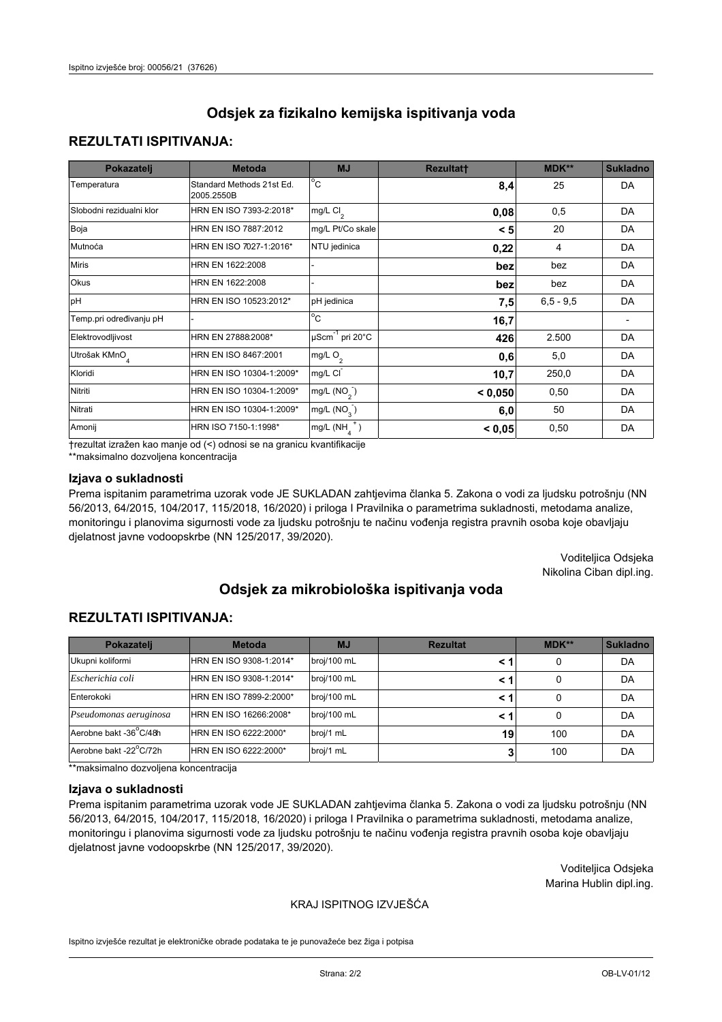# **REZULTATI ISPITIVANJA:**

| Pokazatelj                | <b>Metoda</b>                           | <b>MJ</b>                   | <b>Rezultatt</b> | <b>MDK**</b> | <b>Sukladno</b> |
|---------------------------|-----------------------------------------|-----------------------------|------------------|--------------|-----------------|
| Temperatura               | Standard Methods 21st Ed.<br>2005.2550B | $^{\circ}$ C                | 8,4              | 25           | DA              |
| Slobodni rezidualni klor  | HRN EN ISO 7393-2:2018*                 | mg/L $Cl_2$                 | 0,08             | 0,5          | DA              |
| Boja                      | HRN EN ISO 7887:2012                    | mg/L Pt/Co skale            | < 5              | 20           | DA              |
| Mutnoća                   | HRN EN ISO 7027-1:2016*                 | NTU jedinica                | 0,22             | 4            | DA              |
| <b>Miris</b>              | HRN EN 1622:2008                        |                             | bez              | bez          | DA              |
| Okus                      | HRN EN 1622:2008                        |                             | bez              | bez          | DA              |
| pH                        | HRN EN ISO 10523:2012*                  | pH jedinica                 | 7,5              | $6.5 - 9.5$  | DA              |
| Temp.pri određivanju pH   |                                         | $\overline{c}$              | 16,7             |              |                 |
| Elektrovodljivost         | HRN EN 27888:2008*                      | µScm <sup>-1</sup> pri 20°C | 426              | 2.500        | DA              |
| Utrošak KMnO <sub>4</sub> | HRN EN ISO 8467:2001                    | mg/L O <sub>2</sub>         | 0,6              | 5,0          | DA              |
| Kloridi                   | HRN EN ISO 10304-1:2009*                | mg/L CI                     | 10,7             | 250,0        | DA              |
| Nitriti                   | HRN EN ISO 10304-1:2009*                | mg/L $(NO2)$                | < 0,050          | 0,50         | DA              |
| Nitrati                   | HRN EN ISO 10304-1:2009*                | mg/L $(NO3)$                | 6,0              | 50           | DA              |
| Amonij                    | HRN ISO 7150-1:1998*                    | mg/L $(NH_A^+)$             | < 0,05           | 0,50         | DA              |

trezultat izražen kao manje od (<) odnosi se na granicu kvantifikacije

\*\*maksimalno dozvoljena koncentracija

## Izjava o sukladnosti

Prema ispitanim parametrima uzorak vode JE SUKLADAN zahtjevima članka 5. Zakona o vodi za ljudsku potrošnju (NN 56/2013, 64/2015, 104/2017, 115/2018, 16/2020) i priloga I Pravilnika o parametrima sukladnosti, metodama analize, monitoringu i planovima sigurnosti vode za ljudsku potrošnju te načinu vođenja registra pravnih osoba koje obavljaju djelatnost javne vodoopskrbe (NN 125/2017, 39/2020).

> Voditeljica Odsjeka Nikolina Ciban dipl.ing.

# Odsiek za mikrobiološka ispitivanja voda

# **REZULTATI ISPITIVANJA:**

| Pokazatelj             | <b>Metoda</b>           | <b>MJ</b>   | <b>Rezultat</b> | MDK** | <b>Sukladno</b> |
|------------------------|-------------------------|-------------|-----------------|-------|-----------------|
| Ukupni koliformi       | HRN EN ISO 9308-1:2014* | broj/100 mL |                 | 0     | DA              |
| Escherichia coli       | HRN EN ISO 9308-1:2014* | broj/100 mL | < 1             | 0     | DA              |
| Enterokoki             | HRN EN ISO 7899-2:2000* | broj/100 mL | < 1             | 0     | DA              |
| Pseudomonas aeruginosa | HRN EN ISO 16266:2008*  | broj/100 mL | < 1             | 0     | DA              |
| Aerobne bakt -36°C/48h | HRN EN ISO 6222:2000*   | broj/1 mL   | 19              | 100   | DA              |
| Aerobne bakt -22°C/72h | HRN EN ISO 6222:2000*   | broj/1 mL   | J.              | 100   | DA              |

\*\*maksimalno dozvoljena koncentracija

#### Izjava o sukladnosti

Prema ispitanim parametrima uzorak vode JE SUKLADAN zahtjevima članka 5. Zakona o vodi za ljudsku potrošnju (NN 56/2013, 64/2015, 104/2017, 115/2018, 16/2020) i priloga I Pravilnika o parametrima sukladnosti, metodama analize, monitoringu i planovima sigurnosti vode za ljudsku potrošnju te načinu vođenja registra pravnih osoba koje obavljaju djelatnost javne vodoopskrbe (NN 125/2017, 39/2020).

> Voditeljica Odsjeka Marina Hublin dipl.ing.

## KRAJ ISPITNOG IZVJEŠĆA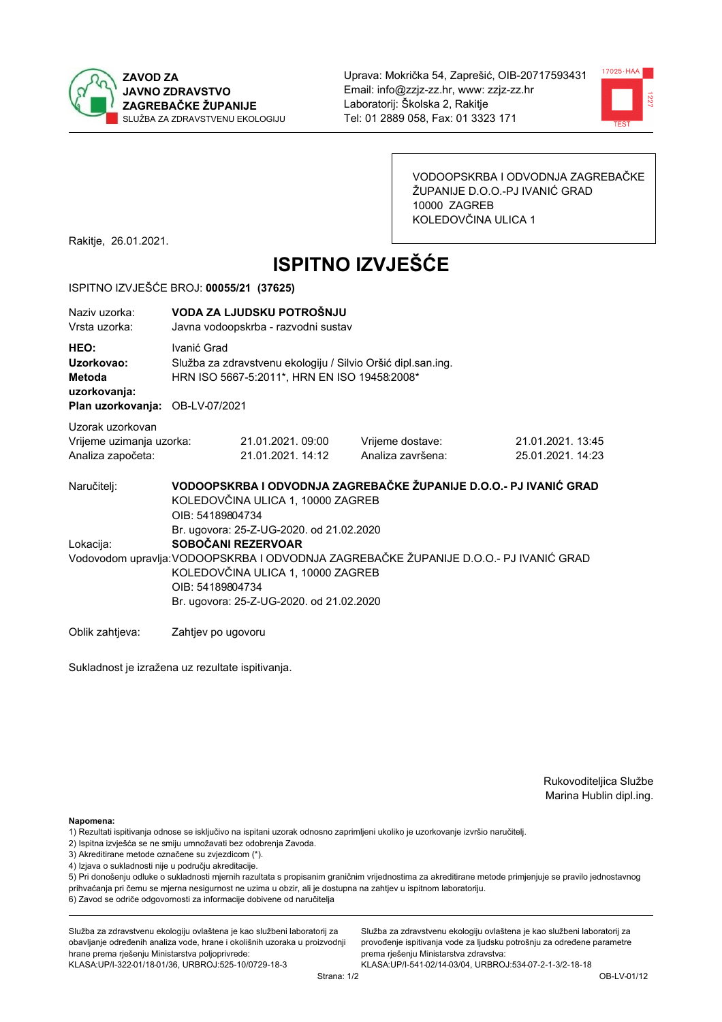



VODOOPSKRBA I ODVODNJA ZAGREBAČKE ŽUPANIJE D.O.O.-PJ IVANIĆ GRAD 10000 ZAGREB KOLEDOVČINA ULICA 1

Rakitje, 26.01.2021.

# **ISPITNO IZVJEŠĆE**

#### ISPITNO IZVJEŠĆE BROJ: 00055/21 (37625)

| Naziy uzorka:<br>Vrsta uzorka:                                                  | VODA ZA LJUDSKU POTROŠNJU<br>Javna vodoopskrba - razvodni sustav                                                                                                                                                                                             |                                                                                                        |                                       |                                       |  |  |  |
|---------------------------------------------------------------------------------|--------------------------------------------------------------------------------------------------------------------------------------------------------------------------------------------------------------------------------------------------------------|--------------------------------------------------------------------------------------------------------|---------------------------------------|---------------------------------------|--|--|--|
| HEO:<br>Uzorkovao:<br>Metoda<br>uzorkovanja:<br>Plan uzorkovanja: OB-LV-07/2021 | Ivanić Grad<br>Služba za zdravstvenu ekologiju / Silvio Oršić dipl.san.ing.<br>HRN ISO 5667-5:2011*, HRN EN ISO 19458:2008*                                                                                                                                  |                                                                                                        |                                       |                                       |  |  |  |
| Uzorak uzorkovan<br>Vrijeme uzimanja uzorka:<br>Analiza započeta:               |                                                                                                                                                                                                                                                              | 21.01.2021.09:00<br>21.01.2021.14:12                                                                   | Vrijeme dostave:<br>Analiza završena: | 21.01.2021. 13:45<br>25.01.2021.14:23 |  |  |  |
| Naručitelj:                                                                     | OIB: 54189804734                                                                                                                                                                                                                                             | VODOOPSKRBA I ODVODNJA ZAGREBAČKE ŽUPANIJE D.O.O.- PJ IVANIĆ GRAD<br>KOLEDOVČINA ULICA 1, 10000 ZAGREB |                                       |                                       |  |  |  |
| Lokacija:                                                                       | Br. ugovora: 25-Z-UG-2020. od 21.02.2020<br>SOBOČANI REZERVOAR<br>Vodovodom upravlja: VODOOPSKRBA I ODVODNJA ZAGREBAČKE ŽUPANIJE D.O.O.- PJ IVANIĆ GRAD<br>KOLEDOVČINA ULICA 1, 10000 ZAGREB<br>OIB: 54189804734<br>Br. ugovora: 25-Z-UG-2020. od 21.02.2020 |                                                                                                        |                                       |                                       |  |  |  |
| Oblik zahtjeva:                                                                 | Zahtjev po ugovoru                                                                                                                                                                                                                                           |                                                                                                        |                                       |                                       |  |  |  |

Sukladnost je izražena uz rezultate ispitivanja.

Rukovoditeljica Službe Marina Hublin dipl.ing.

Napomena:

- 1) Rezultati ispitivanja odnose se isključivo na ispitani uzorak odnosno zaprimljeni ukoliko je uzorkovanje izvršio naručiteli.
- 2) Ispitna izvješća se ne smiju umnožavati bez odobrenja Zavoda.
- 3) Akreditirane metode označene su zvjezdicom (\*).
- 4) Izjava o sukladnosti nije u području akreditacije.

5) Pri donošenju odluke o sukladnosti mjernih razultata s propisanim graničnim vrijednostima za akreditirane metode primjenjuje se pravilo jednostavnog prihvaćanja pri čemu se mjerna nesigurnost ne uzima u obzir, ali je dostupna na zahtjev u ispitnom laboratoriju.

6) Zavod se odriče odgovornosti za informacije dobivene od naručitelja

Služba za zdravstvenu ekologiju ovlaštena je kao službeni laboratorij za obavljanje određenih analiza vode, hrane i okolišnih uzoraka u proizvodnji hrane prema rješenju Ministarstva poljoprivrede: KLASA.UP/I-322-01/18-01/36, URBROJ:525-10/0729-18-3

Služba za zdravstvenu ekologiju ovlaštena je kao službeni laboratorij za provođenje ispitivanja vode za ljudsku potrošnju za određene parametre prema riešenju Ministarstva zdravstva: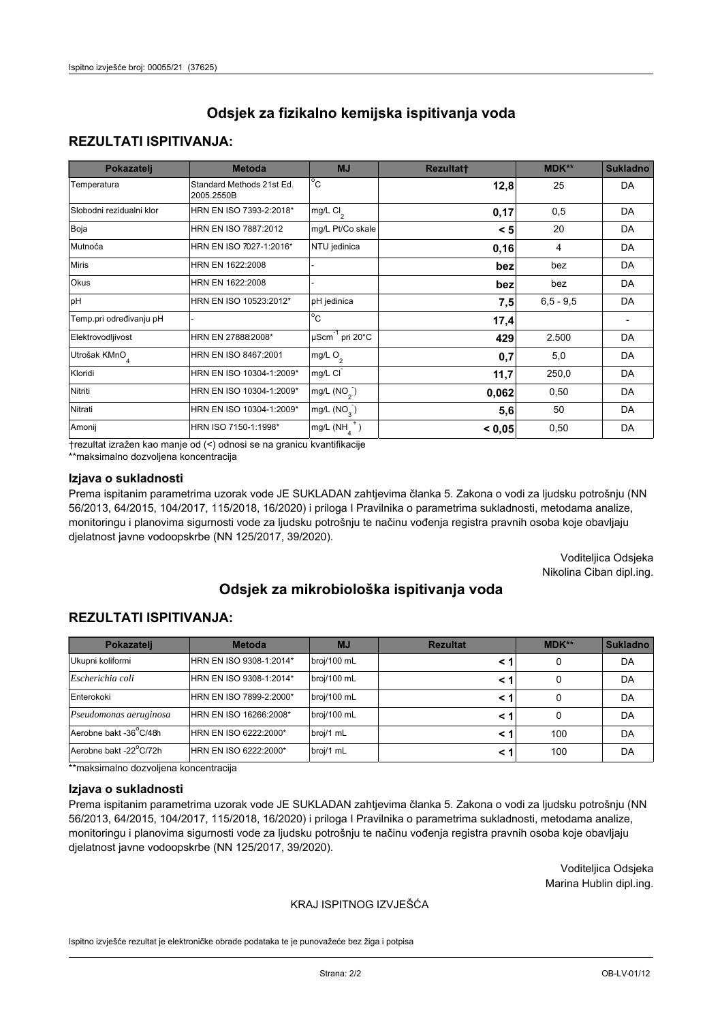# **REZULTATI ISPITIVANJA:**

| Pokazatelj                | <b>Metoda</b>                           | <b>MJ</b>                   | <b>Rezultatt</b> | MDK**       | <b>Sukladno</b> |
|---------------------------|-----------------------------------------|-----------------------------|------------------|-------------|-----------------|
| Temperatura               | Standard Methods 21st Ed.<br>2005.2550B | $^{\circ}$ C                | 12,8             | 25          | DA              |
| Slobodni rezidualni klor  | HRN EN ISO 7393-2:2018*                 | $mg/L$ Cl <sub>2</sub>      | 0,17             | 0,5         | DA              |
| Boja                      | HRN EN ISO 7887:2012                    | mg/L Pt/Co skale            | < 5              | 20          | DA              |
| Mutnoća                   | HRN EN ISO 7027-1:2016*                 | NTU jedinica                | 0, 16            | 4           | DA              |
| <b>Miris</b>              | HRN EN 1622:2008                        |                             | bez              | bez         | DA              |
| Okus                      | HRN EN 1622:2008                        |                             | bez              | bez         | DA              |
| pH                        | HRN EN ISO 10523:2012*                  | pH jedinica                 | 7,5              | $6.5 - 9.5$ | DA              |
| Temp.pri određivanju pH   |                                         | $\overline{c}$              | 17,4             |             |                 |
| Elektrovodljivost         | HRN EN 27888:2008*                      | µScm <sup>-1</sup> pri 20°C | 429              | 2.500       | DA              |
| Utrošak KMnO <sub>4</sub> | HRN EN ISO 8467:2001                    | mg/L $O_2$                  | 0,7              | 5,0         | DA              |
| Kloridi                   | HRN EN ISO 10304-1:2009*                | mg/L CI                     | 11,7             | 250,0       | DA              |
| Nitriti                   | HRN EN ISO 10304-1:2009*                | mg/L (NO <sub>2</sub> )     | 0,062            | 0,50        | DA              |
| Nitrati                   | HRN EN ISO 10304-1:2009*                | mg/L $(NO3)$                | 5,6              | 50          | DA              |
| Amonij                    | HRN ISO 7150-1:1998*                    | mg/L $(NH_A^+)$             | < 0,05           | 0,50        | DA              |

trezultat izražen kao manje od (<) odnosi se na granicu kvantifikacije

\*\*maksimalno dozvoljena koncentracija

## Izjava o sukladnosti

Prema ispitanim parametrima uzorak vode JE SUKLADAN zahtjevima članka 5. Zakona o vodi za ljudsku potrošnju (NN 56/2013, 64/2015, 104/2017, 115/2018, 16/2020) i priloga I Pravilnika o parametrima sukladnosti, metodama analize, monitoringu i planovima sigurnosti vode za ljudsku potrošnju te načinu vođenja registra pravnih osoba koje obavljaju djelatnost javne vodoopskrbe (NN 125/2017, 39/2020).

> Voditeljica Odsjeka Nikolina Ciban dipl.ing.

# Odsiek za mikrobiološka ispitivanja voda

# **REZULTATI ISPITIVANJA:**

| Pokazatelj             | <b>Metoda</b>           | <b>MJ</b>   | <b>Rezultat</b> | MDK** | Sukladno |
|------------------------|-------------------------|-------------|-----------------|-------|----------|
| Ukupni koliformi       | HRN EN ISO 9308-1:2014* | broj/100 mL |                 | 0     | DA       |
| Escherichia coli       | HRN EN ISO 9308-1:2014* | broj/100 mL | < 1             | 0     | DA       |
| Enterokoki             | HRN EN ISO 7899-2:2000* | broj/100 mL | < 1             | 0     | DA       |
| Pseudomonas aeruginosa | HRN EN ISO 16266:2008*  | broj/100 mL | < 1             | 0     | DA       |
| Aerobne bakt -36°C/48h | HRN EN ISO 6222:2000*   | broj/1 mL   | < 1             | 100   | DA       |
| Aerobne bakt -22°C/72h | HRN EN ISO 6222:2000*   | broj/1 mL   | < 1             | 100   | DA       |

\*\*maksimalno dozvoljena koncentracija

#### Izjava o sukladnosti

Prema ispitanim parametrima uzorak vode JE SUKLADAN zahtjevima članka 5. Zakona o vodi za ljudsku potrošnju (NN 56/2013, 64/2015, 104/2017, 115/2018, 16/2020) i priloga I Pravilnika o parametrima sukladnosti, metodama analize, monitoringu i planovima sigurnosti vode za ljudsku potrošnju te načinu vođenja registra pravnih osoba koje obavljaju djelatnost javne vodoopskrbe (NN 125/2017, 39/2020).

> Voditeljica Odsjeka Marina Hublin dipl.ing.

## KRAJ ISPITNOG IZVJEŠĆA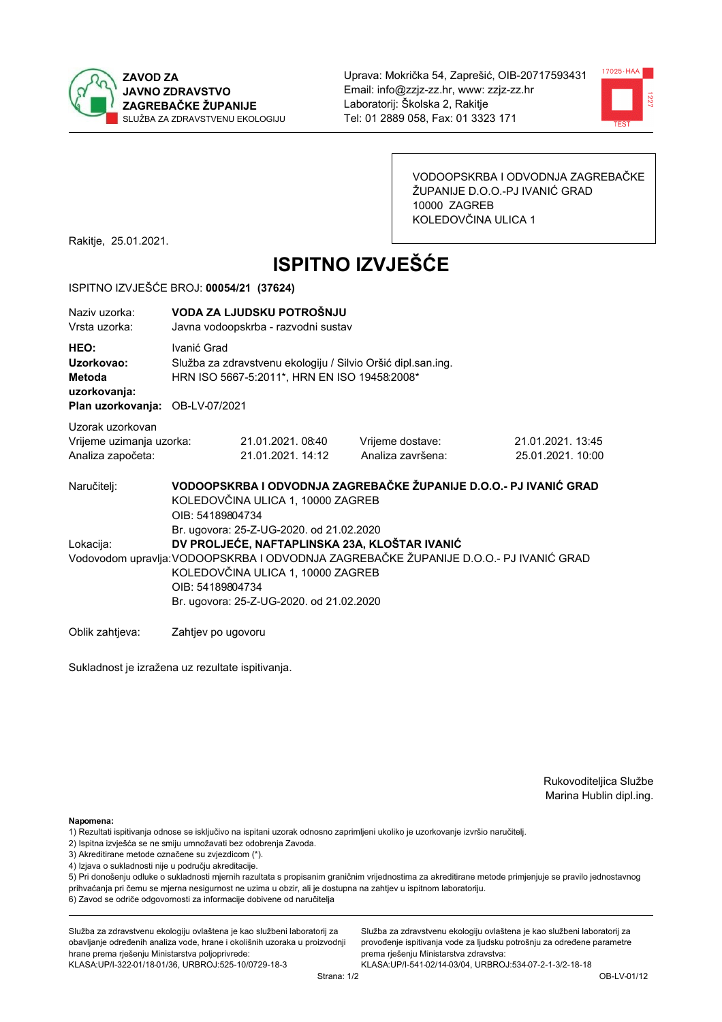



VODOOPSKRBA I ODVODNJA ZAGREBAČKE ŽUPANIJE D.O.O.-PJ IVANIĆ GRAD 10000 ZAGREB KOLEDOVČINA ULICA 1

Rakitje, 25.01.2021.

# **ISPITNO IZVJEŠĆE**

#### ISPITNO IZVJEŠĆE BROJ: 00054/21 (37624)

| Naziy uzorka:<br>Vrsta uzorka:                                                  | VODA ZA LJUDSKU POTROŠNJU<br>Javna vodoopskrba - razvodni sustav                                                                                                                                                                                                                        |                                      |                                       |                                       |  |  |
|---------------------------------------------------------------------------------|-----------------------------------------------------------------------------------------------------------------------------------------------------------------------------------------------------------------------------------------------------------------------------------------|--------------------------------------|---------------------------------------|---------------------------------------|--|--|
| HEO:<br>Uzorkovao:<br>Metoda<br>uzorkovanja:<br>Plan uzorkovanja: OB-LV-07/2021 | Ivanić Grad<br>Služba za zdravstvenu ekologiju / Silvio Oršić dipl.san.ing.<br>HRN ISO 5667-5:2011*, HRN EN ISO 19458:2008*                                                                                                                                                             |                                      |                                       |                                       |  |  |
| Uzorak uzorkovan<br>Vrijeme uzimanja uzorka:<br>Analiza započeta:               |                                                                                                                                                                                                                                                                                         | 21.01.2021.08:40<br>21.01.2021.14:12 | Vrijeme dostave:<br>Analiza završena: | 21.01.2021. 13:45<br>25.01.2021.10:00 |  |  |
| Naručitelj:                                                                     | VODOOPSKRBA I ODVODNJA ZAGREBAČKE ŽUPANIJE D.O.O.- PJ IVANIĆ GRAD<br>KOLEDOVČINA ULICA 1, 10000 ZAGREB<br>OIB: 54189804734                                                                                                                                                              |                                      |                                       |                                       |  |  |
| Lokacija:                                                                       | Br. ugovora: 25-Z-UG-2020. od 21.02.2020<br>DV PROLJEĆE, NAFTAPLINSKA 23A, KLOŠTAR IVANIĆ<br>Vodovodom upravlja: VODOOPSKRBA I ODVODNJA ZAGREBAČKE ŽUPANIJE D.O.O.- PJ IVANIĆ GRAD<br>KOLEDOVČINA ULICA 1, 10000 ZAGREB<br>OIB: 54189804734<br>Br. ugovora: 25-Z-UG-2020. od 21.02.2020 |                                      |                                       |                                       |  |  |
| Oblik zahtieva:                                                                 | Zahtjev po ugovoru                                                                                                                                                                                                                                                                      |                                      |                                       |                                       |  |  |

Sukladnost je izražena uz rezultate ispitivanja.

Rukovoditeljica Službe Marina Hublin dipl.ing.

Napomena:

- 1) Rezultati ispitivanja odnose se isključivo na ispitani uzorak odnosno zaprimljeni ukoliko je uzorkovanje izvršio naručiteli.
- 2) Ispitna izvješća se ne smiju umnožavati bez odobrenja Zavoda.
- 3) Akreditirane metode označene su zvjezdicom (\*).
- 4) Izjava o sukladnosti nije u području akreditacije.

5) Pri donošenju odluke o sukladnosti mjernih razultata s propisanim graničnim vrijednostima za akreditirane metode primjenjuje se pravilo jednostavnog prihvaćanja pri čemu se mjerna nesigurnost ne uzima u obzir, ali je dostupna na zahtjev u ispitnom laboratoriju.

6) Zavod se odriče odgovornosti za informacije dobivene od naručitelja

Služba za zdravstvenu ekologiju ovlaštena je kao službeni laboratorij za obavljanje određenih analiza vode, hrane i okolišnih uzoraka u proizvodnji hrane prema rješenju Ministarstva poljoprivrede: KLASA.UP/I-322-01/18-01/36, URBROJ:525-10/0729-18-3

Služba za zdravstvenu ekologiju ovlaštena je kao službeni laboratorij za provođenje ispitivanja vode za ljudsku potrošnju za određene parametre prema riešenju Ministarstva zdravstva: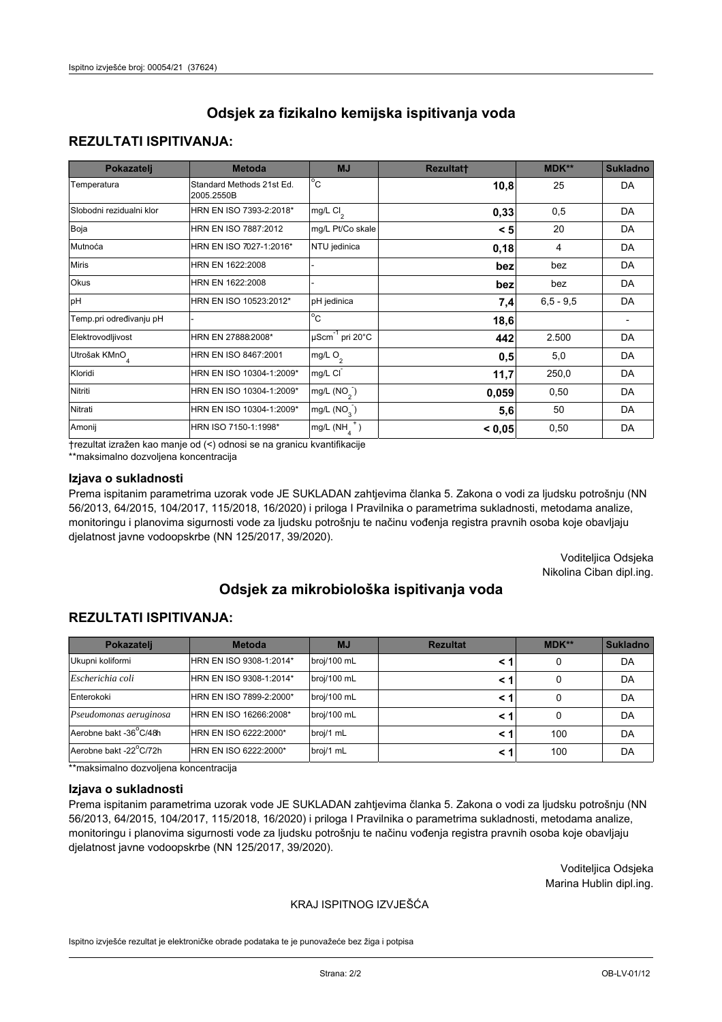# **REZULTATI ISPITIVANJA:**

| Pokazatelj                | <b>Metoda</b>                           | <b>MJ</b>                   | <b>Rezultatt</b> | <b>MDK**</b> | <b>Sukladno</b> |
|---------------------------|-----------------------------------------|-----------------------------|------------------|--------------|-----------------|
| Temperatura               | Standard Methods 21st Ed.<br>2005.2550B | $^{\circ}$ C                | 10,8             | 25           | DA              |
| Slobodni rezidualni klor  | HRN EN ISO 7393-2:2018*                 | mg/L $Cl_2$                 | 0,33             | 0,5          | DA              |
| Boja                      | HRN EN ISO 7887:2012                    | mg/L Pt/Co skale            | < 5              | 20           | DA              |
| Mutnoća                   | HRN EN ISO 7027-1:2016*                 | NTU jedinica                | 0,18             | 4            | DA              |
| <b>Miris</b>              | HRN EN 1622:2008                        |                             | bez              | bez          | DA              |
| Okus                      | HRN EN 1622:2008                        |                             | bez              | bez          | DA              |
| pH                        | HRN EN ISO 10523:2012*                  | pH jedinica                 | 7,4              | $6.5 - 9.5$  | <b>DA</b>       |
| Temp.pri određivanju pH   |                                         | $\overline{c}$              | 18,6             |              |                 |
| Elektrovodljivost         | HRN EN 27888:2008*                      | µScm <sup>-1</sup> pri 20°C | 442              | 2.500        | DA              |
| Utrošak KMnO <sub>4</sub> | HRN EN ISO 8467:2001                    | mg/L O <sub>2</sub>         | 0,5              | 5,0          | DA              |
| Kloridi                   | HRN EN ISO 10304-1:2009*                | mg/L CI                     | 11,7             | 250,0        | DA              |
| Nitriti                   | HRN EN ISO 10304-1:2009*                | mg/L $(NO2)$                | 0,059            | 0,50         | DA              |
| Nitrati                   | HRN EN ISO 10304-1:2009*                | mg/L $(NO3)$                | 5,6              | 50           | DA              |
| Amonij                    | HRN ISO 7150-1:1998*                    | mg/L $(NH_A^+)$             | < 0,05           | 0,50         | DA              |

trezultat izražen kao manje od (<) odnosi se na granicu kvantifikacije

\*\*maksimalno dozvoljena koncentracija

## Izjava o sukladnosti

Prema ispitanim parametrima uzorak vode JE SUKLADAN zahtjevima članka 5. Zakona o vodi za ljudsku potrošnju (NN 56/2013, 64/2015, 104/2017, 115/2018, 16/2020) i priloga I Pravilnika o parametrima sukladnosti, metodama analize, monitoringu i planovima sigurnosti vode za ljudsku potrošnju te načinu vođenja registra pravnih osoba koje obavljaju djelatnost javne vodoopskrbe (NN 125/2017, 39/2020).

> Voditeljica Odsjeka Nikolina Ciban dipl.ing.

# Odsiek za mikrobiološka ispitivanja voda

# **REZULTATI ISPITIVANJA:**

| Pokazatelj             | <b>Metoda</b>           | <b>MJ</b>   | <b>Rezultat</b> | MDK** | Sukladno |
|------------------------|-------------------------|-------------|-----------------|-------|----------|
| Ukupni koliformi       | HRN EN ISO 9308-1:2014* | broj/100 mL |                 | 0     | DA       |
| Escherichia coli       | HRN EN ISO 9308-1:2014* | broj/100 mL | < 1             | 0     | DA       |
| Enterokoki             | HRN EN ISO 7899-2:2000* | broj/100 mL | < 1             | 0     | DA       |
| Pseudomonas aeruginosa | HRN EN ISO 16266:2008*  | broj/100 mL | < 1             | 0     | DA       |
| Aerobne bakt -36°C/48h | HRN EN ISO 6222:2000*   | broj/1 mL   | < 1             | 100   | DA       |
| Aerobne bakt -22°C/72h | HRN EN ISO 6222:2000*   | broj/1 mL   | < 1             | 100   | DA       |

\*\*maksimalno dozvoljena koncentracija

#### Izjava o sukladnosti

Prema ispitanim parametrima uzorak vode JE SUKLADAN zahtjevima članka 5. Zakona o vodi za ljudsku potrošnju (NN 56/2013, 64/2015, 104/2017, 115/2018, 16/2020) i priloga I Pravilnika o parametrima sukladnosti, metodama analize, monitoringu i planovima sigurnosti vode za ljudsku potrošnju te načinu vođenja registra pravnih osoba koje obavljaju djelatnost javne vodoopskrbe (NN 125/2017, 39/2020).

> Voditeljica Odsjeka Marina Hublin dipl.ing.

## KRAJ ISPITNOG IZVJEŠĆA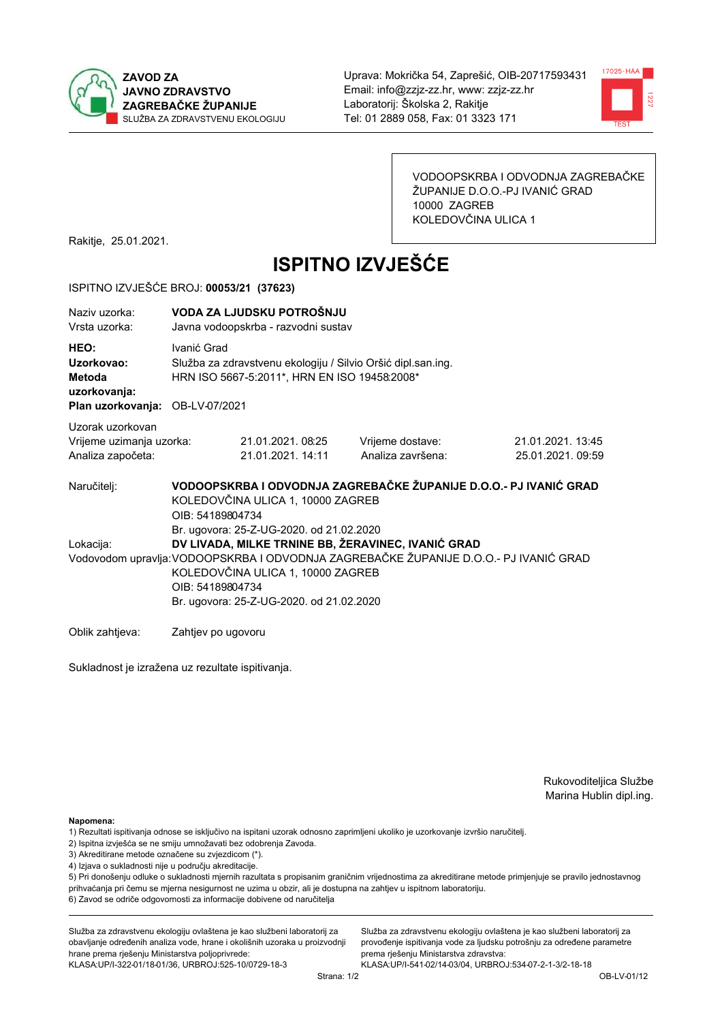



VODOOPSKRBA I ODVODNJA ZAGREBAČKE ŽUPANIJE D.O.O.-PJ IVANIĆ GRAD 10000 ZAGREB KOLEDOVČINA ULICA 1

Rakitje, 25.01.2021.

# **ISPITNO IZVJEŠĆE**

#### ISPITNO IZVJEŠĆE BROJ: 00053/21 (37623)

| Naziv uzorka:<br>Vrsta uzorka:                                                  | VODA ZA LJUDSKU POTROŠNJU<br>Javna vodoopskrba - razvodni sustav                                                            |                  |                                                                                       |                   |  |  |
|---------------------------------------------------------------------------------|-----------------------------------------------------------------------------------------------------------------------------|------------------|---------------------------------------------------------------------------------------|-------------------|--|--|
| HEO:<br>Uzorkovao:<br>Metoda<br>uzorkovanja:<br>Plan uzorkovanja: OB-LV-07/2021 | Ivanić Grad<br>Služba za zdravstvenu ekologiju / Silvio Oršić dipl.san.ing.<br>HRN ISO 5667-5:2011*, HRN EN ISO 19458:2008* |                  |                                                                                       |                   |  |  |
| Uzorak uzorkovan                                                                |                                                                                                                             |                  |                                                                                       |                   |  |  |
| Vrijeme uzimanja uzorka:                                                        |                                                                                                                             | 21.01.2021.08:25 | Vrijeme dostave:                                                                      | 21.01.2021. 13:45 |  |  |
| Analiza započeta:                                                               |                                                                                                                             | 21.01.2021.14:11 | Analiza završena:                                                                     | 25.01.2021.09:59  |  |  |
| Naručitelj:                                                                     | VODOOPSKRBA I ODVODNJA ZAGREBAČKE ŽUPANIJE D.O.O.- PJ IVANIĆ GRAD<br>KOLEDOVČINA ULICA 1, 10000 ZAGREB<br>OIB: 54189804734  |                  |                                                                                       |                   |  |  |
| Lokacija:                                                                       | Br. ugovora: 25-Z-UG-2020. od 21.02.2020                                                                                    |                  | DV LIVADA, MILKE TRNINE BB, ŽERAVINEC, IVANIĆ GRAD                                    |                   |  |  |
|                                                                                 | KOLEDOVČINA ULICA 1, 10000 ZAGREB<br>OIB: 54189804734<br>Br. ugovora: 25-Z-UG-2020. od 21.02.2020                           |                  | Vodovodom upravlja: VODOOPSKRBA I ODVODNJA ZAGREBAČKE ŽUPANIJE D.O.O.- PJ IVANIĆ GRAD |                   |  |  |
| Oblik zahtieva:                                                                 | Zahtjev po ugovoru                                                                                                          |                  |                                                                                       |                   |  |  |

Sukladnost je izražena uz rezultate ispitivanja.

Rukovoditeljica Službe Marina Hublin dipl.ing.

Napomena:

- 1) Rezultati ispitivanja odnose se isključivo na ispitani uzorak odnosno zaprimljeni ukoliko je uzorkovanje izvršio naručiteli.
- 2) Ispitna izvješća se ne smiju umnožavati bez odobrenja Zavoda.
- 3) Akreditirane metode označene su zvjezdicom (\*).
- 4) Izjava o sukladnosti nije u području akreditacije.

5) Pri donošenju odluke o sukladnosti mjernih razultata s propisanim graničnim vrijednostima za akreditirane metode primjenjuje se pravilo jednostavnog prihvaćanja pri čemu se mjerna nesigurnost ne uzima u obzir, ali je dostupna na zahtjev u ispitnom laboratoriju.

6) Zavod se odriče odgovornosti za informacije dobivene od naručitelja

Služba za zdravstvenu ekologiju ovlaštena je kao službeni laboratorij za obavljanje određenih analiza vode, hrane i okolišnih uzoraka u proizvodnji hrane prema rješenju Ministarstva poljoprivrede: KLASA.UP/I-322-01/18-01/36, URBROJ:525-10/0729-18-3

Služba za zdravstvenu ekologiju ovlaštena je kao službeni laboratorij za provođenje ispitivanja vode za ljudsku potrošnju za određene parametre prema riešenju Ministarstva zdravstva: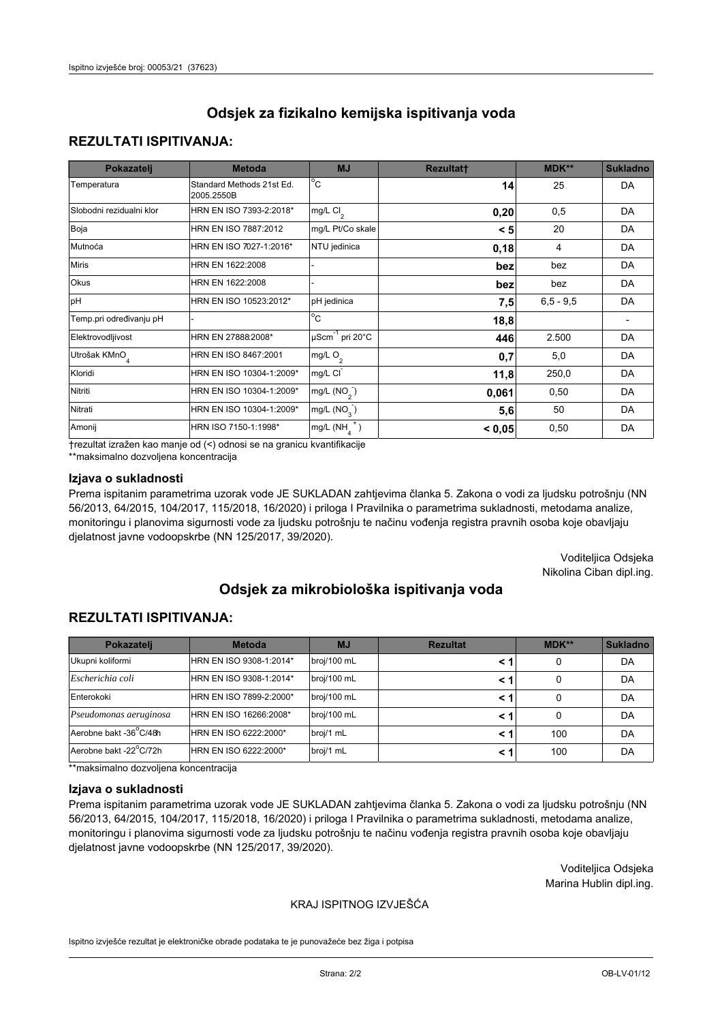# **REZULTATI ISPITIVANJA:**

| Pokazatelj                | <b>Metoda</b>                           | <b>MJ</b>                   | <b>Rezultatt</b> | MDK**       | <b>Sukladno</b> |
|---------------------------|-----------------------------------------|-----------------------------|------------------|-------------|-----------------|
| Temperatura               | Standard Methods 21st Ed.<br>2005.2550B | $^{\circ}$ C                | 14               | 25          | DA              |
| Slobodni rezidualni klor  | HRN EN ISO 7393-2:2018*                 | $mg/L$ Cl <sub>2</sub>      | 0,20             | 0,5         | DA              |
| Boja                      | HRN EN ISO 7887:2012                    | mg/L Pt/Co skale            | < 5              | 20          | DA              |
| Mutnoća                   | HRN EN ISO 7027-1:2016*                 | NTU jedinica                | 0,18             | 4           | DA              |
| <b>Miris</b>              | HRN EN 1622:2008                        |                             | bez              | bez         | DA              |
| Okus                      | HRN EN 1622:2008                        |                             | bez              | bez         | DA              |
| pH                        | HRN EN ISO 10523:2012*                  | pH jedinica                 | 7,5              | $6.5 - 9.5$ | DA              |
| Temp.pri određivanju pH   |                                         | $\overline{c}$              | 18,8             |             |                 |
| Elektrovodljivost         | HRN EN 27888:2008*                      | µScm <sup>-1</sup> pri 20°C | 446              | 2.500       | DA              |
| Utrošak KMnO <sub>4</sub> | HRN EN ISO 8467:2001                    | mg/L $O_2$                  | 0,7              | 5,0         | DA              |
| Kloridi                   | HRN EN ISO 10304-1:2009*                | mg/L CI                     | 11,8             | 250,0       | DA              |
| Nitriti                   | HRN EN ISO 10304-1:2009*                | mg/L (NO <sub>2</sub> )     | 0,061            | 0,50        | DA              |
| Nitrati                   | HRN EN ISO 10304-1:2009*                | mg/L $(NO3)$                | 5,6              | 50          | DA              |
| Amonij                    | HRN ISO 7150-1:1998*                    | mg/L $(NH_A^+)$             | < 0,05           | 0,50        | DA              |

trezultat izražen kao manje od (<) odnosi se na granicu kvantifikacije

\*\*maksimalno dozvoljena koncentracija

## Izjava o sukladnosti

Prema ispitanim parametrima uzorak vode JE SUKLADAN zahtjevima članka 5. Zakona o vodi za ljudsku potrošnju (NN 56/2013, 64/2015, 104/2017, 115/2018, 16/2020) i priloga I Pravilnika o parametrima sukladnosti, metodama analize, monitoringu i planovima sigurnosti vode za ljudsku potrošnju te načinu vođenja registra pravnih osoba koje obavljaju djelatnost javne vodoopskrbe (NN 125/2017, 39/2020).

> Voditeljica Odsjeka Nikolina Ciban dipl.ing.

# Odsiek za mikrobiološka ispitivanja voda

# **REZULTATI ISPITIVANJA:**

| Pokazatelj             | <b>Metoda</b>           | <b>MJ</b>   | <b>Rezultat</b> | MDK** | Sukladno |
|------------------------|-------------------------|-------------|-----------------|-------|----------|
| Ukupni koliformi       | HRN EN ISO 9308-1:2014* | broj/100 mL |                 | 0     | DA       |
| Escherichia coli       | HRN EN ISO 9308-1:2014* | broj/100 mL | < 1             | 0     | DA       |
| Enterokoki             | HRN EN ISO 7899-2:2000* | broj/100 mL | < 1             | 0     | DA       |
| Pseudomonas aeruginosa | HRN EN ISO 16266:2008*  | broj/100 mL | < 1             | 0     | DA       |
| Aerobne bakt -36°C/48h | HRN EN ISO 6222:2000*   | broj/1 mL   | < 1             | 100   | DA       |
| Aerobne bakt -22°C/72h | HRN EN ISO 6222:2000*   | broj/1 mL   | < 1             | 100   | DA       |

\*\*maksimalno dozvoljena koncentracija

#### Izjava o sukladnosti

Prema ispitanim parametrima uzorak vode JE SUKLADAN zahtjevima članka 5. Zakona o vodi za ljudsku potrošnju (NN 56/2013, 64/2015, 104/2017, 115/2018, 16/2020) i priloga I Pravilnika o parametrima sukladnosti, metodama analize, monitoringu i planovima sigurnosti vode za ljudsku potrošnju te načinu vođenja registra pravnih osoba koje obavljaju djelatnost javne vodoopskrbe (NN 125/2017, 39/2020).

> Voditeljica Odsjeka Marina Hublin dipl.ing.

## KRAJ ISPITNOG IZVJEŠĆA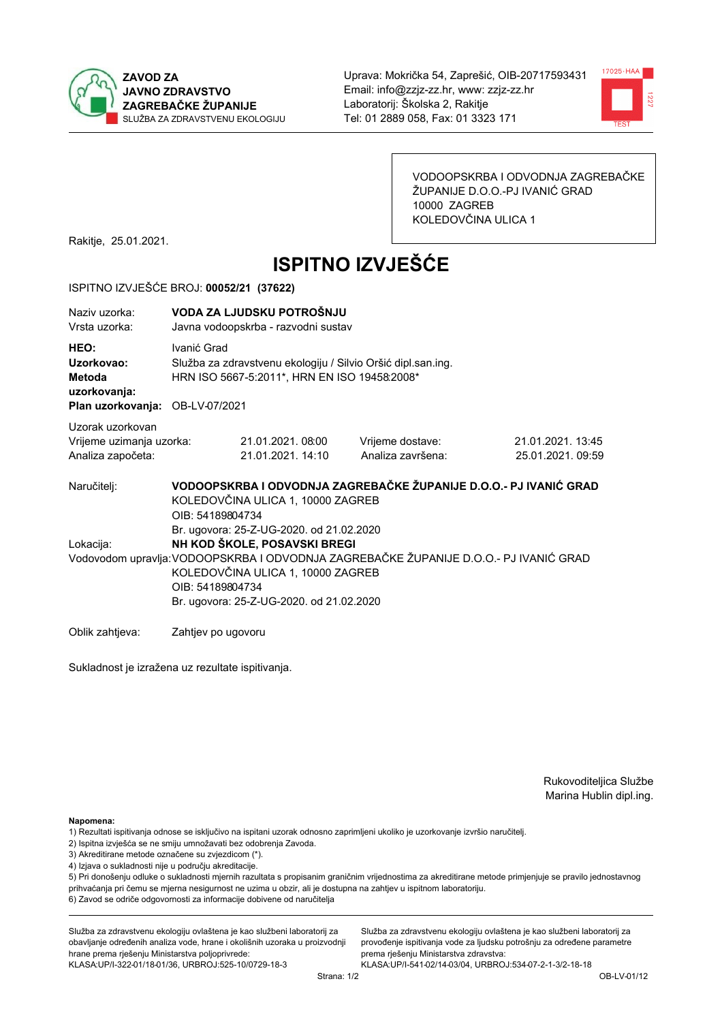



VODOOPSKRBA I ODVODNJA ZAGREBAČKE ŽUPANIJE D.O.O.-PJ IVANIĆ GRAD 10000 ZAGREB KOLEDOVČINA ULICA 1

Rakitje, 25.01.2021.

# **ISPITNO IZVJEŠĆE**

#### ISPITNO IZVJEŠĆE BROJ: 00052/21 (37622)

| Naziv uzorka:<br>Vrsta uzorka:                                                         | VODA ZA LJUDSKU POTROŠNJU<br>Javna vodoopskrba - razvodni sustav                                                                                                                                                                                                       |                                      |                                       |                                       |  |  |
|----------------------------------------------------------------------------------------|------------------------------------------------------------------------------------------------------------------------------------------------------------------------------------------------------------------------------------------------------------------------|--------------------------------------|---------------------------------------|---------------------------------------|--|--|
| HEO:<br>Uzorkovao:<br><b>Metoda</b><br>uzorkovanja:<br>Plan uzorkovanja: OB-LV-07/2021 | Ivanić Grad<br>Služba za zdravstvenu ekologiju / Silvio Oršić dipl.san.ing.<br>HRN ISO 5667-5:2011*, HRN EN ISO 19458:2008*                                                                                                                                            |                                      |                                       |                                       |  |  |
| Uzorak uzorkovan<br>Vrijeme uzimanja uzorka:<br>Analiza započeta:                      |                                                                                                                                                                                                                                                                        | 21.01.2021.08:00<br>21.01.2021.14:10 | Vrijeme dostave:<br>Analiza završena: | 21.01.2021. 13:45<br>25.01.2021.09:59 |  |  |
| Naručitelj:                                                                            | VODOOPSKRBA I ODVODNJA ZAGREBAČKE ŽUPANIJE D.O.O.- PJ IVANIĆ GRAD<br>KOLEDOVČINA ULICA 1, 10000 ZAGREB<br>OIB: 54189804734                                                                                                                                             |                                      |                                       |                                       |  |  |
| Lokacija:                                                                              | Br. ugovora: 25-Z-UG-2020. od 21.02.2020<br>NH KOD ŠKOLE, POSAVSKI BREGI<br>Vodovodom upravlja: VODOOPSKRBA I ODVODNJA ZAGREBAČKE ŽUPANIJE D.O.O.- PJ IVANIĆ GRAD<br>KOLEDOVČINA ULICA 1, 10000 ZAGREB<br>OIB: 54189804734<br>Br. ugovora: 25-Z-UG-2020. od 21.02.2020 |                                      |                                       |                                       |  |  |
| Oblik zahtjeva:                                                                        | Zahtjev po ugovoru                                                                                                                                                                                                                                                     |                                      |                                       |                                       |  |  |

Sukladnost je izražena uz rezultate ispitivanja.

Rukovoditeljica Službe Marina Hublin dipl.ing.

Napomena:

- 1) Rezultati ispitivanja odnose se isključivo na ispitani uzorak odnosno zaprimljeni ukoliko je uzorkovanje izvršio naručiteli.
- 2) Ispitna izvješća se ne smiju umnožavati bez odobrenja Zavoda.
- 3) Akreditirane metode označene su zvjezdicom (\*).
- 4) Izjava o sukladnosti nije u području akreditacije.

5) Pri donošenju odluke o sukladnosti mjernih razultata s propisanim graničnim vrijednostima za akreditirane metode primjenjuje se pravilo jednostavnog prihvaćanja pri čemu se mjerna nesigurnost ne uzima u obzir, ali je dostupna na zahtjev u ispitnom laboratoriju.

6) Zavod se odriče odgovornosti za informacije dobivene od naručitelja

Služba za zdravstvenu ekologiju ovlaštena je kao službeni laboratorij za obavljanje određenih analiza vode, hrane i okolišnih uzoraka u proizvodnji hrane prema rješenju Ministarstva poljoprivrede: KLASA.UP/I-322-01/18-01/36, URBROJ:525-10/0729-18-3

Služba za zdravstvenu ekologiju ovlaštena je kao službeni laboratorij za provođenje ispitivanja vode za ljudsku potrošnju za određene parametre prema riešenju Ministarstva zdravstva: